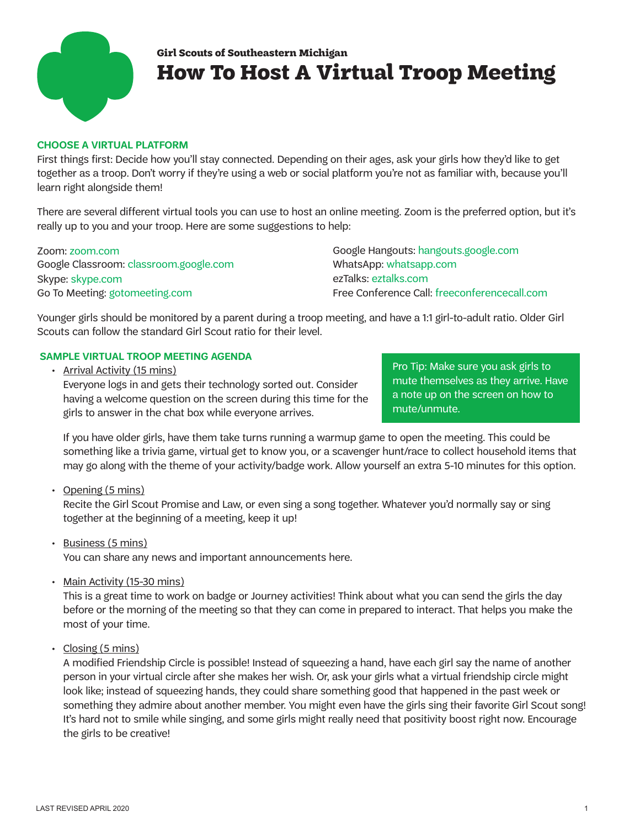

## **How To Host A Virtual Troop Meeting Girl Scouts of Southeastern Michigan**

## **CHOOSE A VIRTUAL PLATFORM**

First things first: Decide how you'll stay connected. Depending on their ages, ask your girls how they'd like to get together as a troop. Don't worry if they're using a web or social platform you're not as familiar with, because you'll learn right alongside them!

There are several different virtual tools you can use to host an online meeting. Zoom is the preferred option, but it's really up to you and your troop. Here are some suggestions to help:

Google Classroom: classroom.google.com Skype: skype.com Go To Meeting: gotomeeting.com

Zoom: Google Hangouts: [hangouts.google.com](http://hangouts.google.com) WhatsApp: [whatsapp.com](http://www.whatsapp.com) ezTalks: [eztalks.com](http://www.eztalks.com) Free Conference Call: [freeconferencecall.com](http://www.freeconferencecall.com)

Younger girls should be monitored by a parent during a troop meeting, and have a 1:1 girl-to-adult ratio. Older Girl Scouts can follow the standard Girl Scout ratio for their level.

## **SAMPLE VIRTUAL TROOP MEETING AGENDA**

• Arrival Activity (15 mins)

Everyone logs in and gets their technology sorted out. Consider having a welcome question on the screen during this time for the girls to answer in the chat box while everyone arrives.

Pro Tip: Make sure you ask girls to mute themselves as they arrive. Have a note up on the screen on how to mute/unmute.

If you have older girls, have them take turns running a warmup game to open the meeting. This could be something like a trivia game, virtual get to know you, or a scavenger hunt/race to collect household items that may go along with the theme of your activity/badge work. Allow yourself an extra 5-10 minutes for this option.

• Opening (5 mins)

Recite the Girl Scout Promise and Law, or even sing a song together. Whatever you'd normally say or sing together at the beginning of a meeting, keep it up!

- Business (5 mins) You can share any news and important announcements here.
- Main Activity (15-30 mins)

This is a great time to work on badge or Journey activities! Think about what you can send the girls the day before or the morning of the meeting so that they can come in prepared to interact. That helps you make the most of your time.

• Closing (5 mins)

A modified Friendship Circle is possible! Instead of squeezing a hand, have each girl say the name of another person in your virtual circle after she makes her wish. Or, ask your girls what a virtual friendship circle might look like; instead of squeezing hands, they could share something good that happened in the past week or something they admire about another member. You might even have the girls sing their favorite Girl Scout song! It's hard not to smile while singing, and some girls might really need that positivity boost right now. Encourage the girls to be creative!